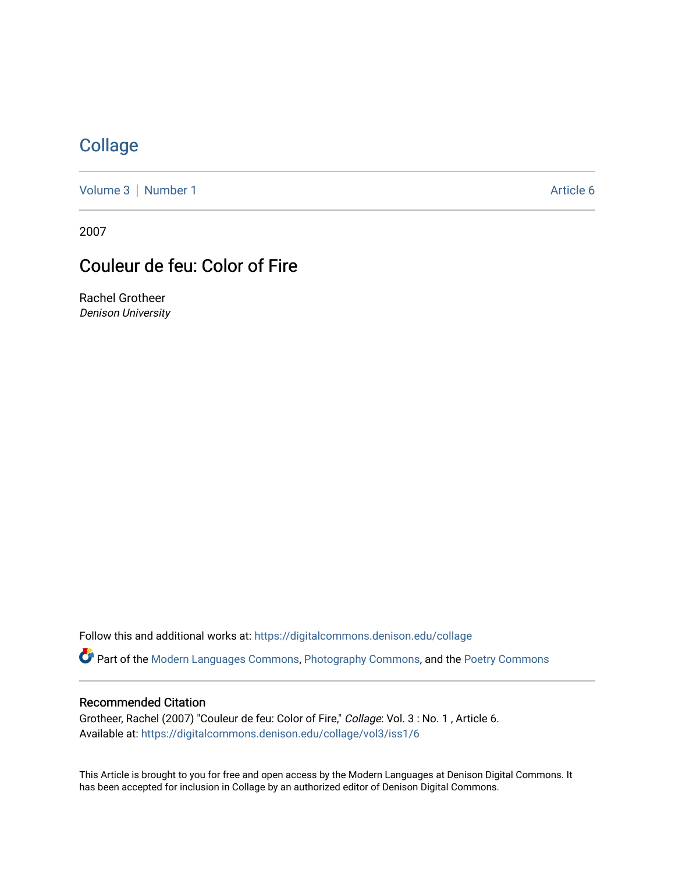## **[Collage](https://digitalcommons.denison.edu/collage)**

[Volume 3](https://digitalcommons.denison.edu/collage/vol3) | [Number 1](https://digitalcommons.denison.edu/collage/vol3/iss1) Article 6

2007

# Couleur de feu: Color of Fire

Rachel Grotheer Denison University

Follow this and additional works at: [https://digitalcommons.denison.edu/collage](https://digitalcommons.denison.edu/collage?utm_source=digitalcommons.denison.edu%2Fcollage%2Fvol3%2Fiss1%2F6&utm_medium=PDF&utm_campaign=PDFCoverPages) 

Part of the [Modern Languages Commons,](http://network.bepress.com/hgg/discipline/1130?utm_source=digitalcommons.denison.edu%2Fcollage%2Fvol3%2Fiss1%2F6&utm_medium=PDF&utm_campaign=PDFCoverPages) [Photography Commons](http://network.bepress.com/hgg/discipline/1142?utm_source=digitalcommons.denison.edu%2Fcollage%2Fvol3%2Fiss1%2F6&utm_medium=PDF&utm_campaign=PDFCoverPages), and the [Poetry Commons](http://network.bepress.com/hgg/discipline/1153?utm_source=digitalcommons.denison.edu%2Fcollage%2Fvol3%2Fiss1%2F6&utm_medium=PDF&utm_campaign=PDFCoverPages)

#### Recommended Citation

Grotheer, Rachel (2007) "Couleur de feu: Color of Fire," Collage: Vol. 3 : No. 1 , Article 6. Available at: [https://digitalcommons.denison.edu/collage/vol3/iss1/6](https://digitalcommons.denison.edu/collage/vol3/iss1/6?utm_source=digitalcommons.denison.edu%2Fcollage%2Fvol3%2Fiss1%2F6&utm_medium=PDF&utm_campaign=PDFCoverPages) 

This Article is brought to you for free and open access by the Modern Languages at Denison Digital Commons. It has been accepted for inclusion in Collage by an authorized editor of Denison Digital Commons.